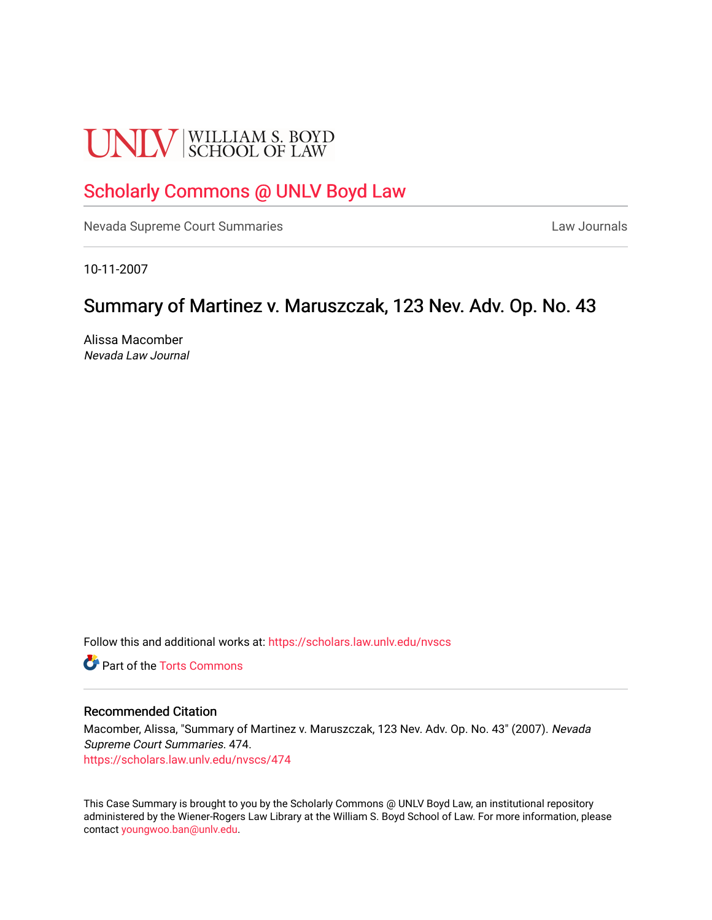# **UNLV** SCHOOL OF LAW

## [Scholarly Commons @ UNLV Boyd Law](https://scholars.law.unlv.edu/)

[Nevada Supreme Court Summaries](https://scholars.law.unlv.edu/nvscs) **Law Journals** Law Journals

10-11-2007

# Summary of Martinez v. Maruszczak, 123 Nev. Adv. Op. No. 43

Alissa Macomber Nevada Law Journal

Follow this and additional works at: [https://scholars.law.unlv.edu/nvscs](https://scholars.law.unlv.edu/nvscs?utm_source=scholars.law.unlv.edu%2Fnvscs%2F474&utm_medium=PDF&utm_campaign=PDFCoverPages)

**C** Part of the [Torts Commons](http://network.bepress.com/hgg/discipline/913?utm_source=scholars.law.unlv.edu%2Fnvscs%2F474&utm_medium=PDF&utm_campaign=PDFCoverPages)

#### Recommended Citation

Macomber, Alissa, "Summary of Martinez v. Maruszczak, 123 Nev. Adv. Op. No. 43" (2007). Nevada Supreme Court Summaries. 474. [https://scholars.law.unlv.edu/nvscs/474](https://scholars.law.unlv.edu/nvscs/474?utm_source=scholars.law.unlv.edu%2Fnvscs%2F474&utm_medium=PDF&utm_campaign=PDFCoverPages)

This Case Summary is brought to you by the Scholarly Commons @ UNLV Boyd Law, an institutional repository administered by the Wiener-Rogers Law Library at the William S. Boyd School of Law. For more information, please contact [youngwoo.ban@unlv.edu](mailto:youngwoo.ban@unlv.edu).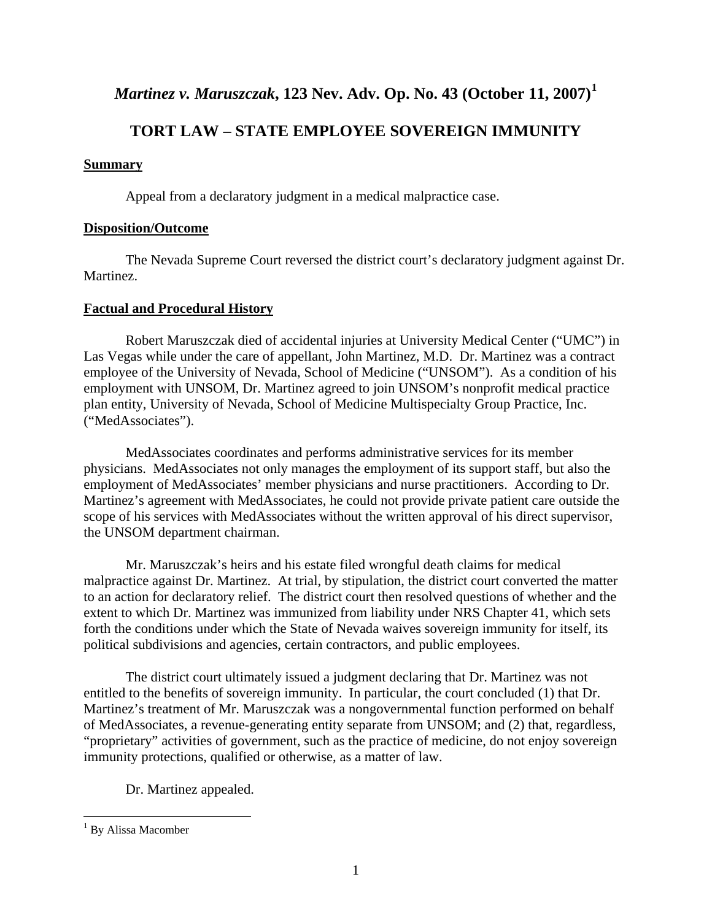## *Martinez v. Maruszczak***, 123 Nev. Adv. Op. No. 43 (October 11, 2007)[1](#page-1-0)**

## **TORT LAW – STATE EMPLOYEE SOVEREIGN IMMUNITY**

#### **Summary**

Appeal from a declaratory judgment in a medical malpractice case.

#### **Disposition/Outcome**

The Nevada Supreme Court reversed the district court's declaratory judgment against Dr. Martinez.

#### **Factual and Procedural History**

Robert Maruszczak died of accidental injuries at University Medical Center ("UMC") in Las Vegas while under the care of appellant, John Martinez, M.D. Dr. Martinez was a contract employee of the University of Nevada, School of Medicine ("UNSOM"). As a condition of his employment with UNSOM, Dr. Martinez agreed to join UNSOM's nonprofit medical practice plan entity, University of Nevada, School of Medicine Multispecialty Group Practice, Inc. ("MedAssociates").

MedAssociates coordinates and performs administrative services for its member physicians. MedAssociates not only manages the employment of its support staff, but also the employment of MedAssociates' member physicians and nurse practitioners. According to Dr. Martinez's agreement with MedAssociates, he could not provide private patient care outside the scope of his services with MedAssociates without the written approval of his direct supervisor, the UNSOM department chairman.

 Mr. Maruszczak's heirs and his estate filed wrongful death claims for medical malpractice against Dr. Martinez. At trial, by stipulation, the district court converted the matter to an action for declaratory relief. The district court then resolved questions of whether and the extent to which Dr. Martinez was immunized from liability under NRS Chapter 41, which sets forth the conditions under which the State of Nevada waives sovereign immunity for itself, its political subdivisions and agencies, certain contractors, and public employees.

The district court ultimately issued a judgment declaring that Dr. Martinez was not entitled to the benefits of sovereign immunity. In particular, the court concluded (1) that Dr. Martinez's treatment of Mr. Maruszczak was a nongovernmental function performed on behalf of MedAssociates, a revenue-generating entity separate from UNSOM; and (2) that, regardless, "proprietary" activities of government, such as the practice of medicine, do not enjoy sovereign immunity protections, qualified or otherwise, as a matter of law.

Dr. Martinez appealed.

 $\overline{a}$ 

<span id="page-1-0"></span><sup>&</sup>lt;sup>1</sup> By Alissa Macomber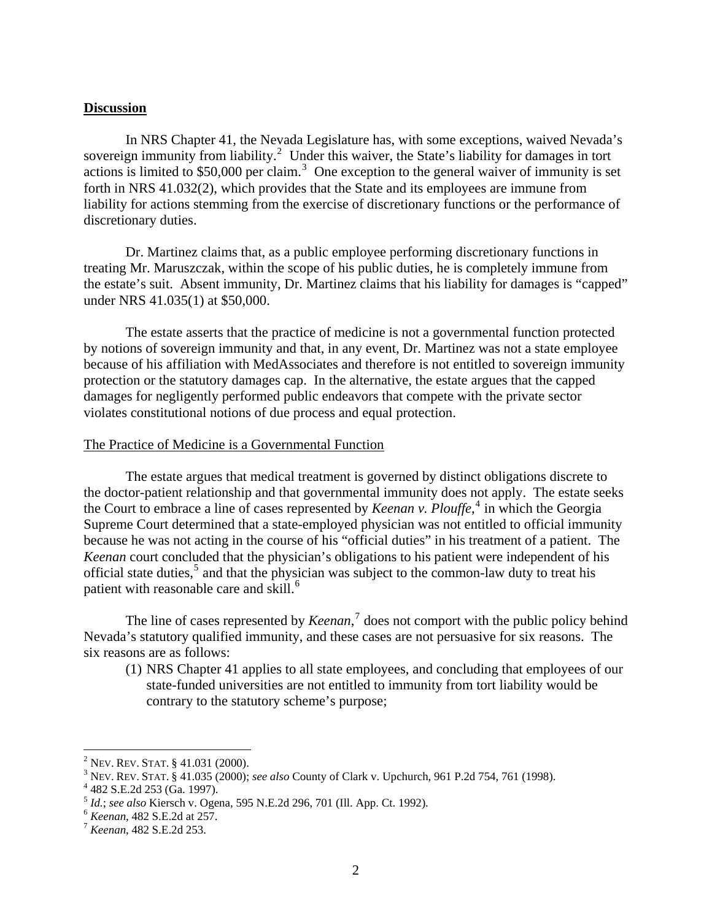#### **Discussion**

 In NRS Chapter 41, the Nevada Legislature has, with some exceptions, waived Nevada's sovereign immunity from liability.<sup>[2](#page-2-0)</sup> Under this waiver, the State's liability for damages in tort actions is limited to \$50,000 per claim.<sup>[3](#page-2-1)</sup> One exception to the general waiver of immunity is set forth in NRS 41.032(2), which provides that the State and its employees are immune from liability for actions stemming from the exercise of discretionary functions or the performance of discretionary duties.

Dr. Martinez claims that, as a public employee performing discretionary functions in treating Mr. Maruszczak, within the scope of his public duties, he is completely immune from the estate's suit. Absent immunity, Dr. Martinez claims that his liability for damages is "capped" under NRS 41.035(1) at \$50,000.

 The estate asserts that the practice of medicine is not a governmental function protected by notions of sovereign immunity and that, in any event, Dr. Martinez was not a state employee because of his affiliation with MedAssociates and therefore is not entitled to sovereign immunity protection or the statutory damages cap. In the alternative, the estate argues that the capped damages for negligently performed public endeavors that compete with the private sector violates constitutional notions of due process and equal protection.

#### The Practice of Medicine is a Governmental Function

 The estate argues that medical treatment is governed by distinct obligations discrete to the doctor-patient relationship and that governmental immunity does not apply. The estate seeks the Court to embrace a line of cases represented by *Keenan v. Plouffe*, [4](#page-2-2) in which the Georgia Supreme Court determined that a state-employed physician was not entitled to official immunity because he was not acting in the course of his "official duties" in his treatment of a patient. The *Keenan* court concluded that the physician's obligations to his patient were independent of his official state duties,<sup>[5](#page-2-3)</sup> and that the physician was subject to the common-law duty to treat his patient with reasonable care and skill.<sup>[6](#page-2-4)</sup>

The line of cases represented by *Keenan*, [7](#page-2-5) does not comport with the public policy behind Nevada's statutory qualified immunity, and these cases are not persuasive for six reasons. The six reasons are as follows:

(1) NRS Chapter 41 applies to all state employees, and concluding that employees of our state-funded universities are not entitled to immunity from tort liability would be contrary to the statutory scheme's purpose;

 $\overline{a}$ 

<span id="page-2-0"></span><sup>&</sup>lt;sup>2</sup> Nev. Rev. Stat. § 41.031 (2000).<br><sup>3</sup> Nev. Rev. Stat. § 41.035 (2000).

<span id="page-2-1"></span>NEV. REV. STAT. § 41.035 (2000); *see also* County of Clark v. Upchurch, 961 P.2d 754, 761 (1998). 4

<span id="page-2-2"></span><sup>&</sup>lt;sup>4</sup> 482 S.E.2d 253 (Ga. 1997).

<span id="page-2-3"></span><sup>5</sup> *Id.*; *see also* Kiersch v. Ogena, 595 N.E.2d 296, 701 (Ill. App. Ct. 1992). 6 *Keenan*, 482 S.E.2d at 257. 7 *Keenan*, 482 S.E.2d 253.

<span id="page-2-4"></span>

<span id="page-2-5"></span>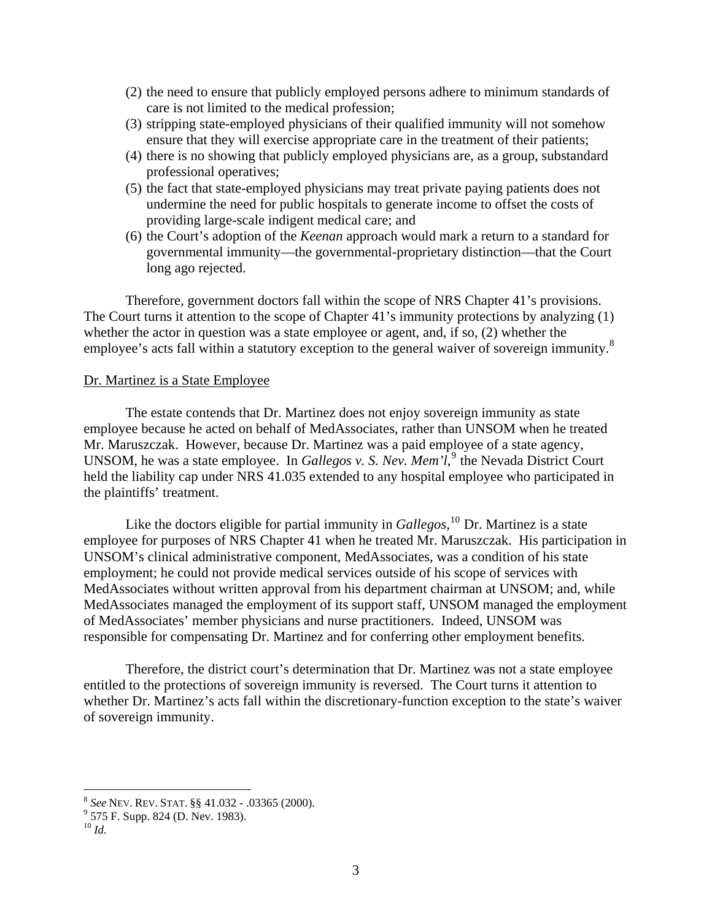- (2) the need to ensure that publicly employed persons adhere to minimum standards of care is not limited to the medical profession;
- (3) stripping state-employed physicians of their qualified immunity will not somehow ensure that they will exercise appropriate care in the treatment of their patients;
- (4) there is no showing that publicly employed physicians are, as a group, substandard professional operatives;
- (5) the fact that state-employed physicians may treat private paying patients does not undermine the need for public hospitals to generate income to offset the costs of providing large-scale indigent medical care; and
- (6) the Court's adoption of the *Keenan* approach would mark a return to a standard for governmental immunity—the governmental-proprietary distinction—that the Court long ago rejected.

Therefore, government doctors fall within the scope of NRS Chapter 41's provisions. The Court turns it attention to the scope of Chapter 41's immunity protections by analyzing (1) whether the actor in question was a state employee or agent, and, if so,  $(2)$  whether the employee's acts fall within a statutory exception to the general waiver of sovereign immunity.<sup>[8](#page-3-0)</sup>

#### Dr. Martinez is a State Employee

 The estate contends that Dr. Martinez does not enjoy sovereign immunity as state employee because he acted on behalf of MedAssociates, rather than UNSOM when he treated Mr. Maruszczak. However, because Dr. Martinez was a paid employee of a state agency, UNSOM, he was a state employee. In *Gallegos v. S. Nev. Mem'l*,<sup>[9](#page-3-1)</sup> the Nevada District Court held the liability cap under NRS 41.035 extended to any hospital employee who participated in the plaintiffs' treatment.

Like the doctors eligible for partial immunity in *Gallegos*,<sup>[10](#page-3-2)</sup> Dr. Martinez is a state employee for purposes of NRS Chapter 41 when he treated Mr. Maruszczak. His participation in UNSOM's clinical administrative component, MedAssociates, was a condition of his state employment; he could not provide medical services outside of his scope of services with MedAssociates without written approval from his department chairman at UNSOM; and, while MedAssociates managed the employment of its support staff, UNSOM managed the employment of MedAssociates' member physicians and nurse practitioners. Indeed, UNSOM was responsible for compensating Dr. Martinez and for conferring other employment benefits.

Therefore, the district court's determination that Dr. Martinez was not a state employee entitled to the protections of sovereign immunity is reversed. The Court turns it attention to whether Dr. Martinez's acts fall within the discretionary-function exception to the state's waiver of sovereign immunity.

1

<span id="page-3-0"></span><sup>8</sup> *See* NEV. REV. STAT. §§ 41.032 - .03365 (2000). <sup>9</sup>

 <sup>575</sup> F. Supp. 824 (D. Nev. 1983).

<span id="page-3-2"></span><span id="page-3-1"></span> $^{10}$   $ld.$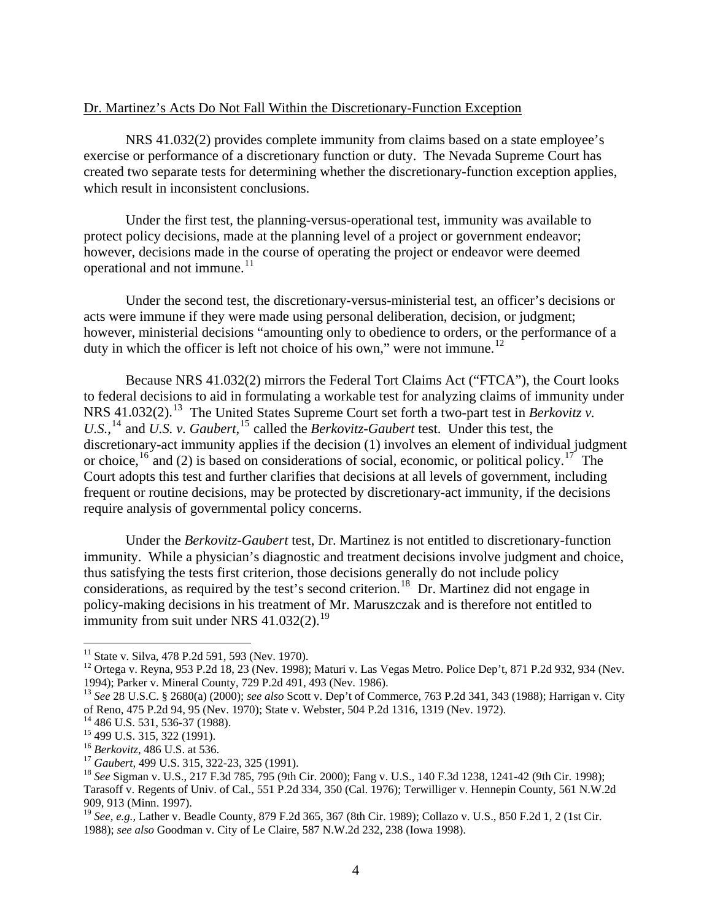#### Dr. Martinez's Acts Do Not Fall Within the Discretionary-Function Exception

 NRS 41.032(2) provides complete immunity from claims based on a state employee's exercise or performance of a discretionary function or duty. The Nevada Supreme Court has created two separate tests for determining whether the discretionary-function exception applies, which result in inconsistent conclusions.

 Under the first test, the planning-versus-operational test, immunity was available to protect policy decisions, made at the planning level of a project or government endeavor; however, decisions made in the course of operating the project or endeavor were deemed operational and not immune.<sup>[11](#page-4-0)</sup>

 Under the second test, the discretionary-versus-ministerial test, an officer's decisions or acts were immune if they were made using personal deliberation, decision, or judgment; however, ministerial decisions "amounting only to obedience to orders, or the performance of a duty in which the officer is left not choice of his own," were not immune.<sup>[12](#page-4-1)</sup>

 Because NRS 41.032(2) mirrors the Federal Tort Claims Act ("FTCA"), the Court looks to federal decisions to aid in formulating a workable test for analyzing claims of immunity under NRS 41.032(2).<sup>[13](#page-4-2)</sup> The United States Supreme Court set forth a two-part test in *Berkovitz v*. U.S.,<sup>[14](#page-4-3)</sup> and *U.S. v. Gaubert*,<sup>[15](#page-4-4)</sup> called the *Berkovitz-Gaubert* test. Under this test, the discretionary-act immunity applies if the decision (1) involves an element of individual judgment or choice,  $^{16}$  $^{16}$  $^{16}$  and (2) is based on considerations of social, economic, or political policy.<sup>[17](#page-4-6)</sup> The Court adopts this test and further clarifies that decisions at all levels of government, including frequent or routine decisions, may be protected by discretionary-act immunity, if the decisions require analysis of governmental policy concerns.

 Under the *Berkovitz-Gaubert* test, Dr. Martinez is not entitled to discretionary-function immunity. While a physician's diagnostic and treatment decisions involve judgment and choice, thus satisfying the tests first criterion, those decisions generally do not include policy considerations, as required by the test's second criterion.<sup>[18](#page-4-7)</sup> Dr. Martinez did not engage in policy-making decisions in his treatment of Mr. Maruszczak and is therefore not entitled to immunity from suit under NRS  $41.032(2)$ .<sup>[19](#page-4-8)</sup>

 $\overline{a}$ 

<span id="page-4-0"></span> $11$  State v. Silva, 478 P.2d 591, 593 (Nev. 1970).

<span id="page-4-1"></span><sup>&</sup>lt;sup>12</sup> Ortega v. Reyna, 953 P.2d 18, 23 (Nev. 1998); Maturi v. Las Vegas Metro. Police Dep't, 871 P.2d 932, 934 (Nev. 1994); Parker v. Mineral County, 729 P.2d 491, 493 (Nev. 1986).

<span id="page-4-2"></span><sup>13</sup> *See* 28 U.S.C. § 2680(a) (2000); *see also* Scott v. Dep't of Commerce, 763 P.2d 341, 343 (1988); Harrigan v. City of Reno, 475 P.2d 94, 95 (Nev. 1970); State v. Webster, 504 P.2d 1316, 1319 (Nev. 1972).

<span id="page-4-3"></span><sup>&</sup>lt;sup>14</sup> 486 U.S. 531, 536-37 (1988).

<span id="page-4-4"></span><sup>&</sup>lt;sup>15</sup> 499 U.S. 315, 322 (1991).<br><sup>16</sup> Berkovitz, 486 U.S. at 536.

<span id="page-4-7"></span><span id="page-4-6"></span><span id="page-4-5"></span><sup>&</sup>lt;sup>17</sup> *Gaubert*, 499 U.S. 315, 322-23, 325 (1991).<br><sup>18</sup> *See* Sigman v. U.S., 217 F.3d 785, 795 (9th Cir. 2000); Fang v. U.S., 140 F.3d 1238, 1241-42 (9th Cir. 1998); Tarasoff v. Regents of Univ. of Cal., 551 P.2d 334, 350 (Cal. 1976); Terwilliger v. Hennepin County, 561 N.W.2d 909, 913 (Minn. 1997).

<span id="page-4-8"></span><sup>19</sup> *See, e.g.*, Lather v. Beadle County, 879 F.2d 365, 367 (8th Cir. 1989); Collazo v. U.S., 850 F.2d 1, 2 (1st Cir. 1988); *see also* Goodman v. City of Le Claire, 587 N.W.2d 232, 238 (Iowa 1998).